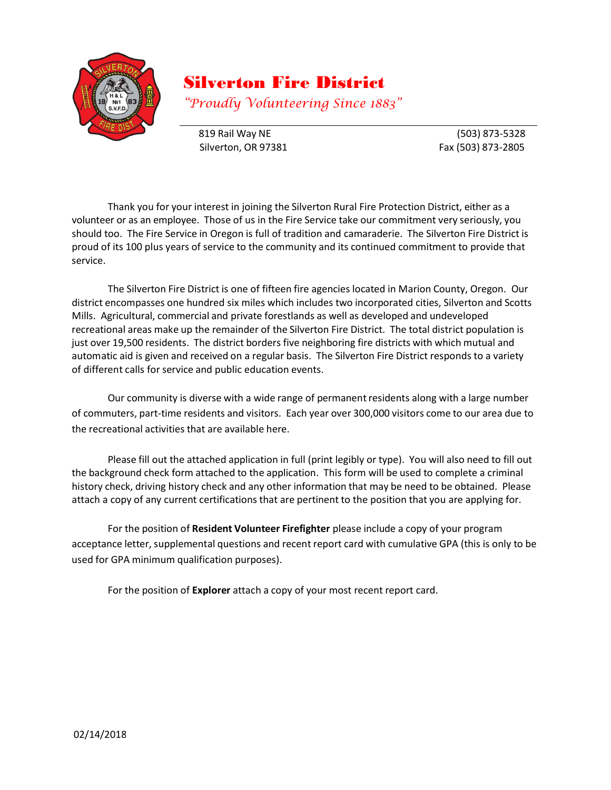

# Silverton Fire District

*"Proudly Volunteering Since 1883"*

819 Rail Way NE (503) 873-5328 Silverton, OR 97381 Fax (503) 873-2805

Thank you for your interest in joining the Silverton Rural Fire Protection District, either as a volunteer or as an employee. Those of us in the Fire Service take our commitment very seriously, you should too. The Fire Service in Oregon is full of tradition and camaraderie. The Silverton Fire District is proud of its 100 plus years of service to the community and its continued commitment to provide that service.

The Silverton Fire District is one of fifteen fire agencies located in Marion County, Oregon. Our district encompasses one hundred six miles which includes two incorporated cities, Silverton and Scotts Mills. Agricultural, commercial and private forestlands as well as developed and undeveloped recreational areas make up the remainder of the Silverton Fire District. The total district population is just over 19,500 residents. The district borders five neighboring fire districts with which mutual and automatic aid is given and received on a regular basis. The Silverton Fire District responds to a variety of different calls for service and public education events.

Our community is diverse with a wide range of permanent residents along with a large number of commuters, part-time residents and visitors. Each year over 300,000 visitors come to our area due to the recreational activities that are available here.

Please fill out the attached application in full (print legibly or type). You will also need to fill out the background check form attached to the application. This form will be used to complete a criminal history check, driving history check and any other information that may be need to be obtained. Please attach a copy of any current certifications that are pertinent to the position that you are applying for.

For the position of **Resident Volunteer Firefighter** please include a copy of your program acceptance letter, supplemental questions and recent report card with cumulative GPA (this is only to be used for GPA minimum qualification purposes).

For the position of **Explorer** attach a copy of your most recent report card.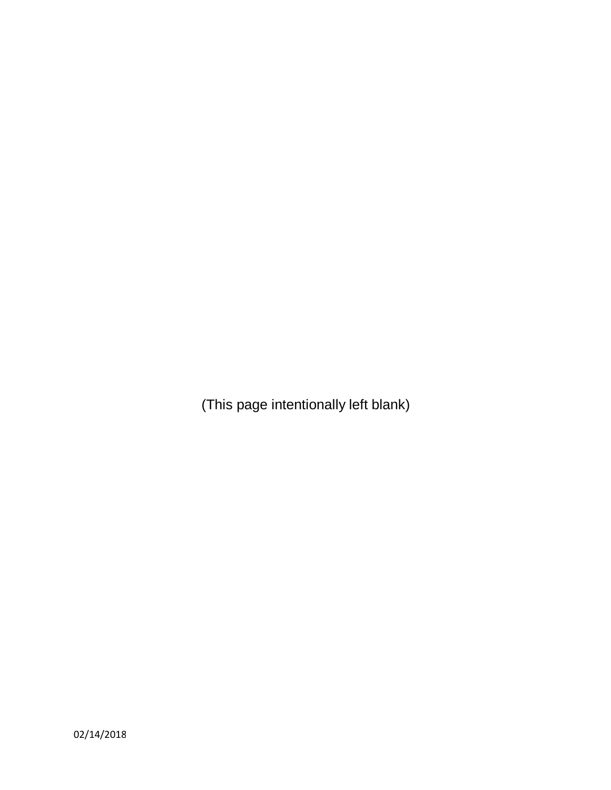(This page intentionally left blank)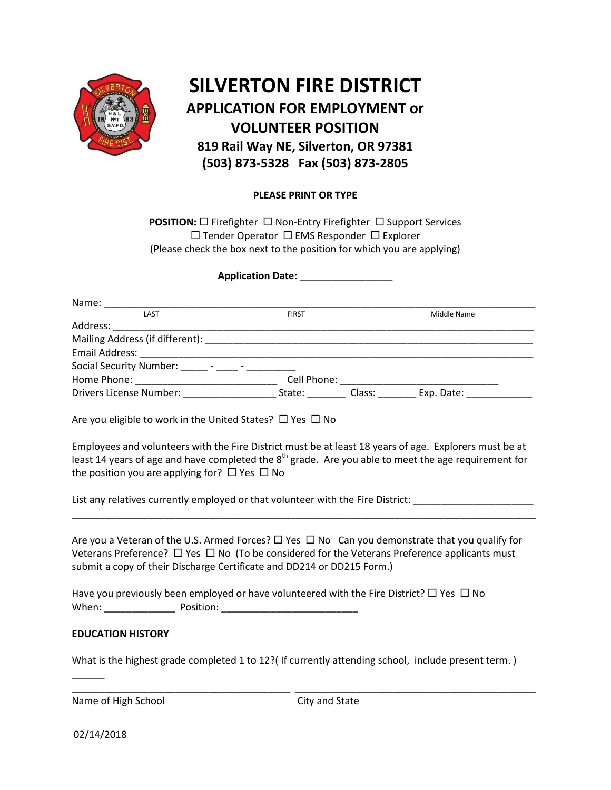

## **SILVERTON FIRE DISTRICT APPLICATION FOR EMPLOYMENT or VOLUNTEER POSITION 819 Rail Way NE, Silverton, OR 97381 (503) 873-5328 Fax (503) 873-2805**

### **PLEASE PRINT OR TYPE**

**POSITION:**  $\Box$  Firefighter  $\Box$  Non-Entry Firefighter  $\Box$  Support Services  $\square$  Tender Operator  $\square$  EMS Responder  $\square$  Explorer (Please check the box next to the position for which you are applying)

#### **Application Date:** \_\_\_\_\_\_\_\_\_\_\_\_\_\_\_\_\_

| Name:                                            |              |        |             |
|--------------------------------------------------|--------------|--------|-------------|
| LAST                                             | <b>FIRST</b> |        | Middle Name |
| Address:                                         |              |        |             |
| Mailing Address (if different):                  |              |        |             |
| <b>Email Address:</b>                            |              |        |             |
| Social Security Number: ______ - _____ - _______ |              |        |             |
| Home Phone:                                      | Cell Phone:  |        |             |
| <b>Drivers License Number:</b>                   | State:       | Class: | Exp. Date:  |

Are you eligible to work in the United States?  $\Box$  Yes  $\Box$  No

Employees and volunteers with the Fire District must be at least 18 years of age. Explorers must be at least 14 years of age and have completed the  $8<sup>th</sup>$  grade. Are you able to meet the age requirement for the position you are applying for?  $\Box$  Yes  $\Box$  No

List any relatives currently employed or that volunteer with the Fire District:

Are you a Veteran of the U.S. Armed Forces?  $\Box$  Yes  $\Box$  No Can you demonstrate that you qualify for Veterans Preference?  $\Box$  Yes  $\Box$  No (To be considered for the Veterans Preference applicants must submit a copy of their Discharge Certificate and DD214 or DD215 Form.)

\_\_\_\_\_\_\_\_\_\_\_\_\_\_\_\_\_\_\_\_\_\_\_\_\_\_\_\_\_\_\_\_\_\_\_\_\_\_\_\_\_\_\_\_\_\_\_\_\_\_\_\_\_\_\_\_\_\_\_\_\_\_\_\_\_\_\_\_\_\_\_\_\_\_\_\_\_\_\_\_\_\_\_\_\_

Have you previously been employed or have volunteered with the Fire District?  $\Box$  Yes  $\Box$  No When: The Position: The Position: The Position: The Position: The Position: The Position: The Position: The Position: The Position: The Position: The Position: The Position: The Position: The Position: The Position: The Po

#### **EDUCATION HISTORY**

What is the highest grade completed 1 to 12? (If currently attending school, include present term.)

\_\_\_\_\_\_\_\_\_\_\_\_\_\_\_\_\_\_\_\_\_\_\_\_\_\_\_\_\_\_\_\_\_\_\_\_\_\_\_\_ \_\_\_\_\_\_\_\_\_\_\_\_\_\_\_\_\_\_\_\_\_\_\_\_\_\_\_\_\_\_\_\_\_\_\_\_\_\_\_\_\_\_\_\_

Name of High School City and State

02/14/2018

 $\overline{\phantom{a}}$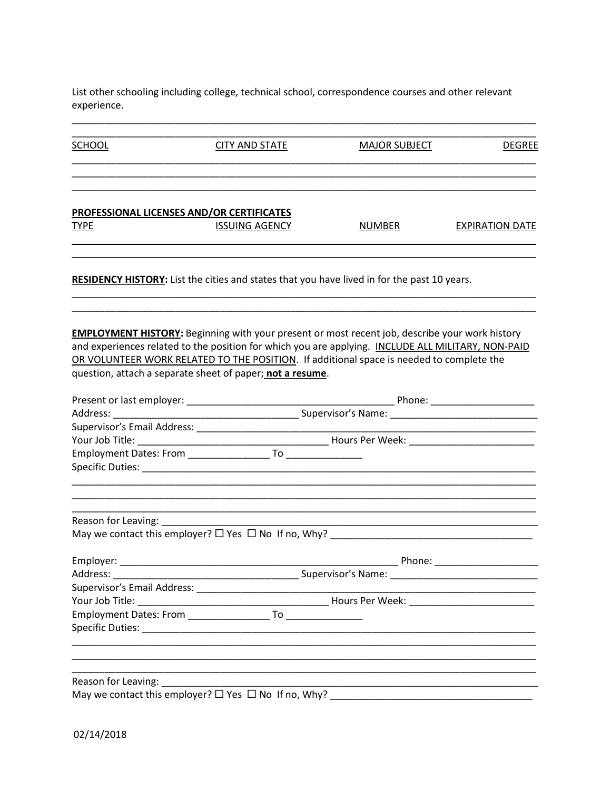List other schooling including college, technical school, correspondence courses and other relevant experience.

 $\overline{\phantom{0}}$ 

| <b>SCHOOL</b>                                       | <b>CITY AND STATE</b>                                                                                                                                                                                                                                                                                                                                                | <b>MAJOR SUBJECT</b> | <b>DEGREE</b>          |
|-----------------------------------------------------|----------------------------------------------------------------------------------------------------------------------------------------------------------------------------------------------------------------------------------------------------------------------------------------------------------------------------------------------------------------------|----------------------|------------------------|
|                                                     | PROFESSIONAL LICENSES AND/OR CERTIFICATES                                                                                                                                                                                                                                                                                                                            |                      |                        |
| <b>TYPE</b>                                         | <b>ISSUING AGENCY</b>                                                                                                                                                                                                                                                                                                                                                | <b>NUMBER</b>        | <b>EXPIRATION DATE</b> |
|                                                     | <b>RESIDENCY HISTORY:</b> List the cities and states that you have lived in for the past 10 years.                                                                                                                                                                                                                                                                   |                      |                        |
|                                                     | <b>EMPLOYMENT HISTORY:</b> Beginning with your present or most recent job, describe your work history<br>and experiences related to the position for which you are applying. INCLUDE ALL MILITARY, NON-PAID<br>OR VOLUNTEER WORK RELATED TO THE POSITION. If additional space is needed to complete the<br>question, attach a separate sheet of paper; not a resume. |                      |                        |
|                                                     |                                                                                                                                                                                                                                                                                                                                                                      |                      |                        |
|                                                     |                                                                                                                                                                                                                                                                                                                                                                      |                      |                        |
|                                                     |                                                                                                                                                                                                                                                                                                                                                                      |                      |                        |
|                                                     |                                                                                                                                                                                                                                                                                                                                                                      |                      |                        |
|                                                     |                                                                                                                                                                                                                                                                                                                                                                      |                      |                        |
| Reason for Leaving: Network and Season for Leaving: |                                                                                                                                                                                                                                                                                                                                                                      |                      |                        |
|                                                     |                                                                                                                                                                                                                                                                                                                                                                      |                      |                        |
|                                                     |                                                                                                                                                                                                                                                                                                                                                                      |                      |                        |
| Address:                                            |                                                                                                                                                                                                                                                                                                                                                                      | Supervisor's Name:   |                        |
|                                                     |                                                                                                                                                                                                                                                                                                                                                                      |                      |                        |
|                                                     |                                                                                                                                                                                                                                                                                                                                                                      |                      |                        |
|                                                     |                                                                                                                                                                                                                                                                                                                                                                      |                      |                        |
|                                                     |                                                                                                                                                                                                                                                                                                                                                                      |                      |                        |
|                                                     | Reason for Leaving: Network and the settlement of the settlement of the settlement of the settlement of the set                                                                                                                                                                                                                                                      |                      |                        |
|                                                     |                                                                                                                                                                                                                                                                                                                                                                      |                      |                        |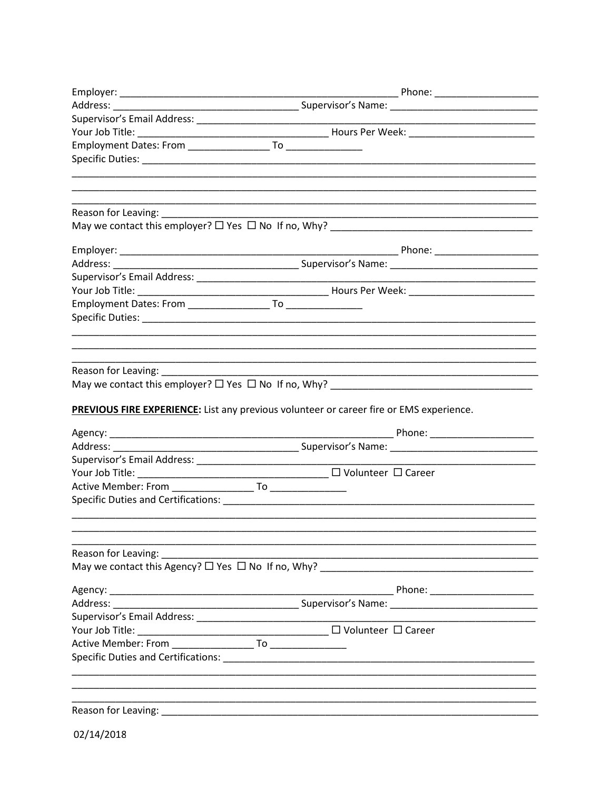| Reason for Leaving:                     |                                                                                         |
|-----------------------------------------|-----------------------------------------------------------------------------------------|
|                                         |                                                                                         |
|                                         |                                                                                         |
|                                         |                                                                                         |
|                                         |                                                                                         |
|                                         |                                                                                         |
|                                         |                                                                                         |
|                                         |                                                                                         |
|                                         |                                                                                         |
|                                         |                                                                                         |
|                                         |                                                                                         |
|                                         | PREVIOUS FIRE EXPERIENCE: List any previous volunteer or career fire or EMS experience. |
|                                         |                                                                                         |
|                                         |                                                                                         |
|                                         |                                                                                         |
|                                         |                                                                                         |
|                                         |                                                                                         |
|                                         |                                                                                         |
|                                         |                                                                                         |
|                                         |                                                                                         |
| Reason for Leaving: Neason for Leaving: |                                                                                         |
|                                         |                                                                                         |
|                                         |                                                                                         |
|                                         |                                                                                         |
|                                         |                                                                                         |
|                                         |                                                                                         |
|                                         |                                                                                         |
|                                         |                                                                                         |
|                                         |                                                                                         |
|                                         |                                                                                         |
|                                         |                                                                                         |
|                                         |                                                                                         |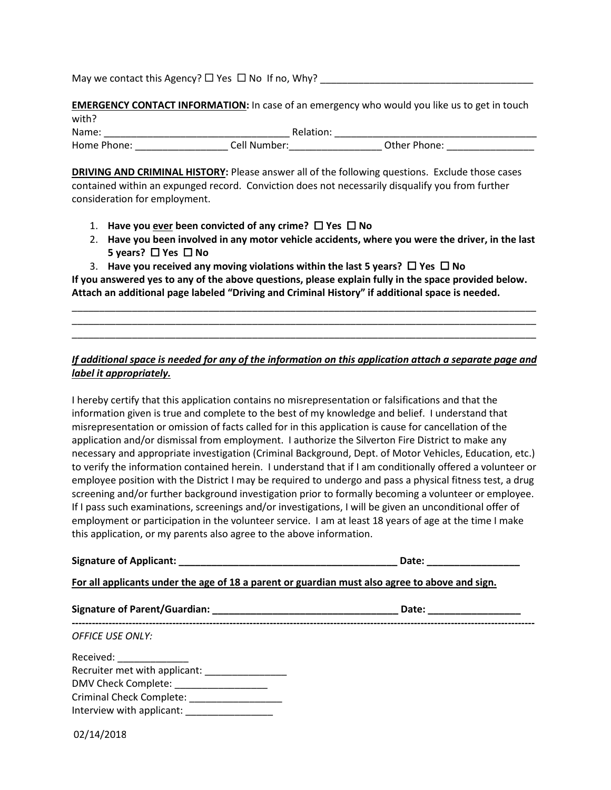May we contact this Agency?  $\Box$  Yes  $\Box$  No If no, Why?  $\Box$ 

**EMERGENCY CONTACT INFORMATION:** In case of an emergency who would you like us to get in touch with?

| Name:       |                |              |
|-------------|----------------|--------------|
| Home Phone: | ell Numher الم | Other Phone: |

**DRIVING AND CRIMINAL HISTORY:** Please answer all of the following questions. Exclude those cases contained within an expunged record. Conviction does not necessarily disqualify you from further consideration for employment.

- 1. Have you ever been convicted of any crime?  $\Box$  Yes  $\Box$  No
- 2. **Have you been involved in any motor vehicle accidents, where you were the driver, in the last 5 years?** □ Yes □ No
- 3. **Have you received any moving violations within the last 5 years?**  $\Box$  **Yes**  $\Box$  **No**

**If you answered yes to any of the above questions, please explain fully in the space provided below. Attach an additional page labeled "Driving and Criminal History" if additional space is needed.**

\_\_\_\_\_\_\_\_\_\_\_\_\_\_\_\_\_\_\_\_\_\_\_\_\_\_\_\_\_\_\_\_\_\_\_\_\_\_\_\_\_\_\_\_\_\_\_\_\_\_\_\_\_\_\_\_\_\_\_\_\_\_\_\_\_\_\_\_\_\_\_\_\_\_\_\_\_\_\_\_\_\_\_\_\_ \_\_\_\_\_\_\_\_\_\_\_\_\_\_\_\_\_\_\_\_\_\_\_\_\_\_\_\_\_\_\_\_\_\_\_\_\_\_\_\_\_\_\_\_\_\_\_\_\_\_\_\_\_\_\_\_\_\_\_\_\_\_\_\_\_\_\_\_\_\_\_\_\_\_\_\_\_\_\_\_\_\_\_\_\_ \_\_\_\_\_\_\_\_\_\_\_\_\_\_\_\_\_\_\_\_\_\_\_\_\_\_\_\_\_\_\_\_\_\_\_\_\_\_\_\_\_\_\_\_\_\_\_\_\_\_\_\_\_\_\_\_\_\_\_\_\_\_\_\_\_\_\_\_\_\_\_\_\_\_\_\_\_\_\_\_\_\_\_\_\_

## *If additional space is needed for any of the information on this application attach a separate page and label it appropriately.*

I hereby certify that this application contains no misrepresentation or falsifications and that the information given is true and complete to the best of my knowledge and belief. I understand that misrepresentation or omission of facts called for in this application is cause for cancellation of the application and/or dismissal from employment. I authorize the Silverton Fire District to make any necessary and appropriate investigation (Criminal Background, Dept. of Motor Vehicles, Education, etc.) to verify the information contained herein. I understand that if I am conditionally offered a volunteer or employee position with the District I may be required to undergo and pass a physical fitness test, a drug screening and/or further background investigation prior to formally becoming a volunteer or employee. If I pass such examinations, screenings and/or investigations, I will be given an unconditional offer of employment or participation in the volunteer service. I am at least 18 years of age at the time I make this application, or my parents also agree to the above information.

**Signature of Applicant:**  $\blacksquare$ 

**For all applicants under the age of 18 a parent or guardian must also agree to above and sign.**

|                                                    | Date:<br>the company of the company of the company |  |
|----------------------------------------------------|----------------------------------------------------|--|
| <b>OFFICE USE ONLY:</b>                            |                                                    |  |
| Received: ______________                           |                                                    |  |
| Recruiter met with applicant:                      |                                                    |  |
| DMV Check Complete: _________________              |                                                    |  |
| Criminal Check Complete: Cambridge Check Complete: |                                                    |  |
| Interview with applicant:                          |                                                    |  |
| 02/14/2018                                         |                                                    |  |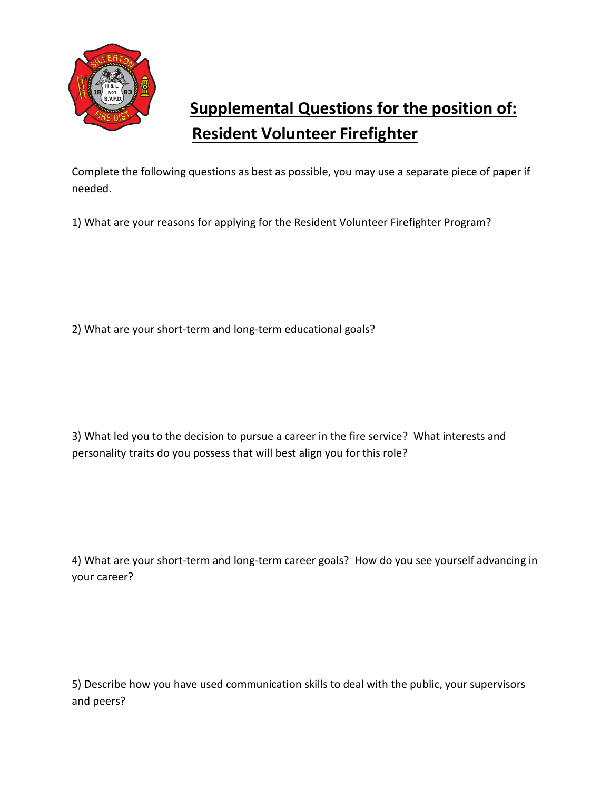

# **Supplemental Questions for the position of: Resident Volunteer Firefighter**

Complete the following questions as best as possible, you may use a separate piece of paper if needed.

1) What are your reasons for applying for the Resident Volunteer Firefighter Program?

2) What are your short-term and long-term educational goals?

3) What led you to the decision to pursue a career in the fire service? What interests and personality traits do you possess that will best align you for this role?

4) What are your short-term and long-term career goals? How do you see yourself advancing in your career?

5) Describe how you have used communication skills to deal with the public, your supervisors and peers?